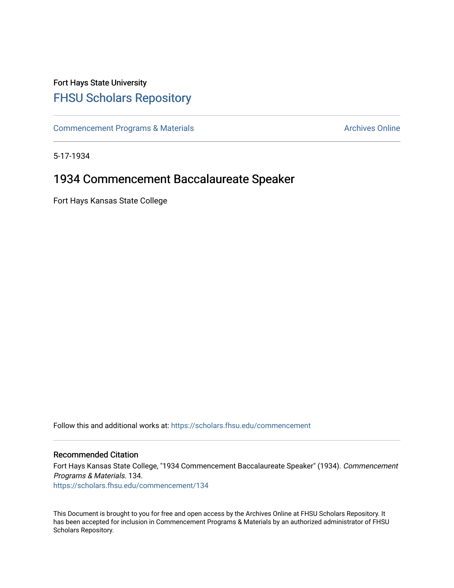# Fort Hays State University [FHSU Scholars Repository](https://scholars.fhsu.edu/)

[Commencement Programs & Materials](https://scholars.fhsu.edu/commencement) **Archives Online** Archives Online

5-17-1934

## 1934 Commencement Baccalaureate Speaker

Fort Hays Kansas State College

Follow this and additional works at: [https://scholars.fhsu.edu/commencement](https://scholars.fhsu.edu/commencement?utm_source=scholars.fhsu.edu%2Fcommencement%2F134&utm_medium=PDF&utm_campaign=PDFCoverPages)

### Recommended Citation

Fort Hays Kansas State College, "1934 Commencement Baccalaureate Speaker" (1934). Commencement Programs & Materials. 134. [https://scholars.fhsu.edu/commencement/134](https://scholars.fhsu.edu/commencement/134?utm_source=scholars.fhsu.edu%2Fcommencement%2F134&utm_medium=PDF&utm_campaign=PDFCoverPages)

This Document is brought to you for free and open access by the Archives Online at FHSU Scholars Repository. It has been accepted for inclusion in Commencement Programs & Materials by an authorized administrator of FHSU Scholars Repository.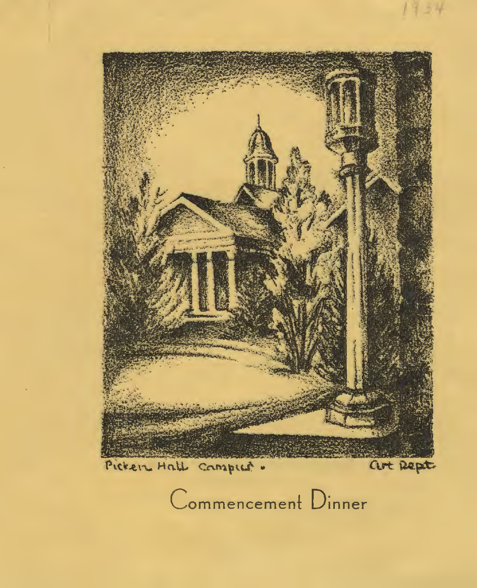

Commencement Dinner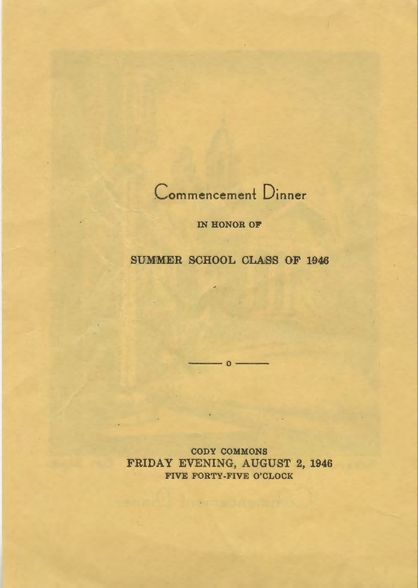

IN HONOR OF

### SUMMER SCHOOL CLASS OF 1946

 $\frac{1}{1-\epsilon}$  o  $\frac{1}{1-\epsilon}$ 

CODY COMMONS FRIDAY EVENING, AUGUST 2, 1946 FIVE FORTY-FIVE O'CLOCK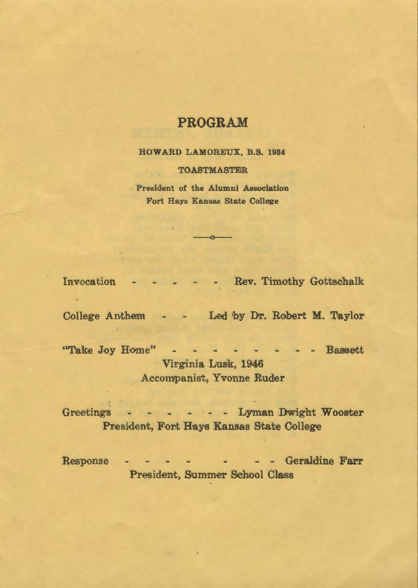### **PROGRAM**

HOWARD LAMOREUX, B.S. 1984

#### TOASTMASTER

President of the Alumni Association Fort Hays Kansas State College

 $\overline{\phantom{a}}$ 

Invocation - - - - - Rev. Timothy Gottschalk

College Anthem - - Led by Dr. Robert M. Taylor

"Take Joy Home" - - - - - - - - Bassett Virginia Lusk, 1946 Accompanist, Yvonne Ruder

Greetings · - - Lyman Dwight Wooster President, Font Hays Kansas State College

**Contract Contract** 

Response - - - - - - - - Geraldine Farr President, Summer School Class